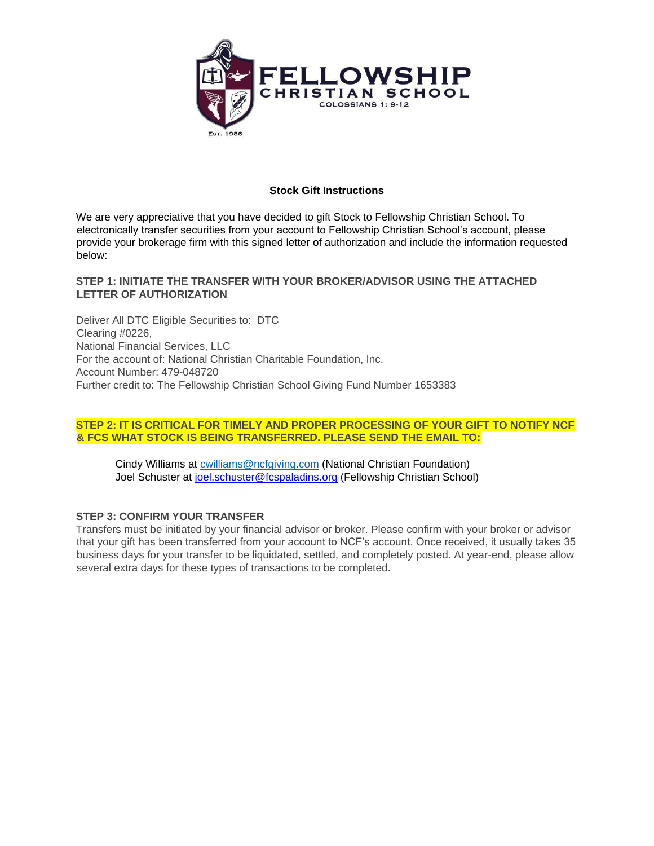

## **Stock Gift Instructions**

We are very appreciative that you have decided to gift Stock to Fellowship Christian School. To electronically transfer securities from your account to Fellowship Christian School's account, please provide your brokerage firm with this signed letter of authorization and include the information requested below:

## **STEP 1: INITIATE THE TRANSFER WITH YOUR BROKER/ADVISOR USING THE ATTACHED LETTER OF AUTHORIZATION**

Deliver All DTC Eligible Securities to: DTC Clearing #0226, National Financial Services, LLC For the account of: National Christian Charitable Foundation, Inc. Account Number: 479-048720 Further credit to: The Fellowship Christian School Giving Fund Number 1653383

### **STEP 2: IT IS CRITICAL FOR TIMELY AND PROPER PROCESSING OF YOUR GIFT TO NOTIFY NCF & FCS WHAT STOCK IS BEING TRANSFERRED. PLEASE SEND THE EMAIL TO:**

Cindy Williams at [cwilliams@ncfgiving.com](mailto:cwilliams@ncfgiving.com) (National Christian Foundation) Joel Schuster at joel.schuster@fcspaladins.org (Fellowship Christian School)

#### **STEP 3: CONFIRM YOUR TRANSFER**

Transfers must be initiated by your financial advisor or broker. Please confirm with your broker or advisor that your gift has been transferred from your account to NCF's account. Once received, it usually takes 35 business days for your transfer to be liquidated, settled, and completely posted. At year-end, please allow several extra days for these types of transactions to be completed.